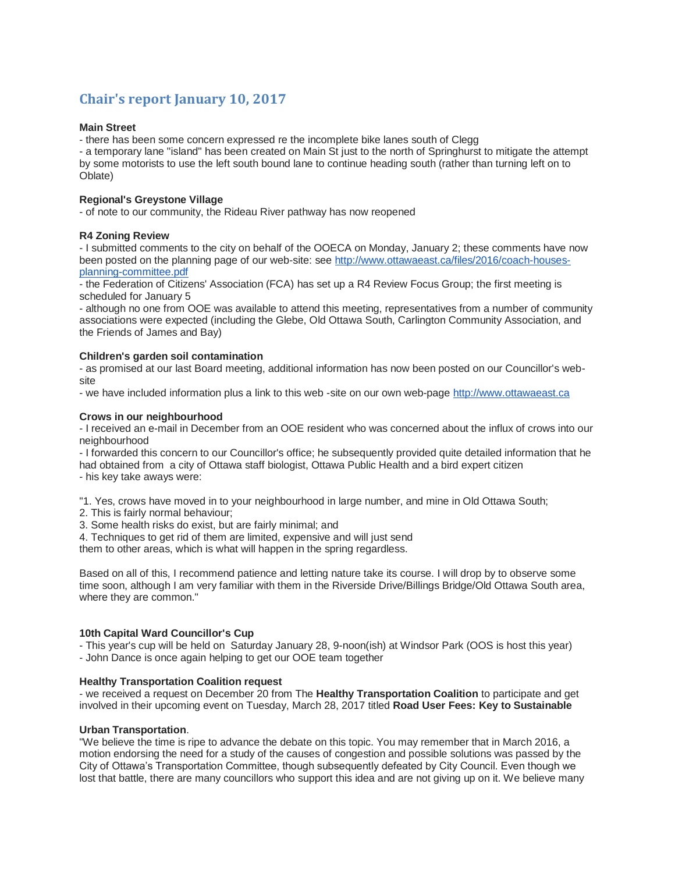# **Chair's report January 10, 2017**

# **Main Street**

- there has been some concern expressed re the incomplete bike lanes south of Clegg

- a temporary lane "island" has been created on Main St just to the north of Springhurst to mitigate the attempt by some motorists to use the left south bound lane to continue heading south (rather than turning left on to Oblate)

# **Regional's Greystone Village**

- of note to our community, the Rideau River pathway has now reopened

# **R4 Zoning Review**

- I submitted comments to the city on behalf of the OOECA on Monday, January 2; these comments have now been posted on the planning page of our web-site: see [http://www.ottawaeast.ca/files/2016/coach-houses](http://www.ottawaeast.ca/files/2016/coach-houses-planning-committee.pdf)[planning-committee.pdf](http://www.ottawaeast.ca/files/2016/coach-houses-planning-committee.pdf)

- the Federation of Citizens' Association (FCA) has set up a R4 Review Focus Group; the first meeting is scheduled for January 5

- although no one from OOE was available to attend this meeting, representatives from a number of community associations were expected (including the Glebe, Old Ottawa South, Carlington Community Association, and the Friends of James and Bay)

# **Children's garden soil contamination**

- as promised at our last Board meeting, additional information has now been posted on our Councillor's website

- we have included information plus a link to this web -site on our own web-page [http://www.ottawaeast.ca](http://www.ottawaeast.ca/)

# **Crows in our neighbourhood**

- I received an e-mail in December from an OOE resident who was concerned about the influx of crows into our neighbourhood

- I forwarded this concern to our Councillor's office; he subsequently provided quite detailed information that he had obtained from a city of Ottawa staff biologist, Ottawa Public Health and a bird expert citizen

- his key take aways were:

"1. Yes, crows have moved in to your neighbourhood in large number, and mine in Old Ottawa South;

- 2. This is fairly normal behaviour;
- 3. Some health risks do exist, but are fairly minimal; and
- 4. Techniques to get rid of them are limited, expensive and will just send

them to other areas, which is what will happen in the spring regardless.

Based on all of this, I recommend patience and letting nature take its course. I will drop by to observe some time soon, although I am very familiar with them in the Riverside Drive/Billings Bridge/Old Ottawa South area, where they are common."

#### **10th Capital Ward Councillor's Cup**

- This year's cup will be held on Saturday January 28, 9-noon(ish) at Windsor Park (OOS is host this year)

- John Dance is once again helping to get our OOE team together

# **Healthy Transportation Coalition request**

- we received a request on December 20 from The **Healthy Transportation Coalition** to participate and get involved in their upcoming event on Tuesday, March 28, 2017 titled **Road User Fees: Key to Sustainable** 

#### **Urban Transportation**.

"We believe the time is ripe to advance the debate on this topic. You may remember that in March 2016, a motion endorsing the need for a study of the causes of congestion and possible solutions was passed by the City of Ottawa's Transportation Committee, though subsequently defeated by City Council. Even though we lost that battle, there are many councillors who support this idea and are not giving up on it. We believe many